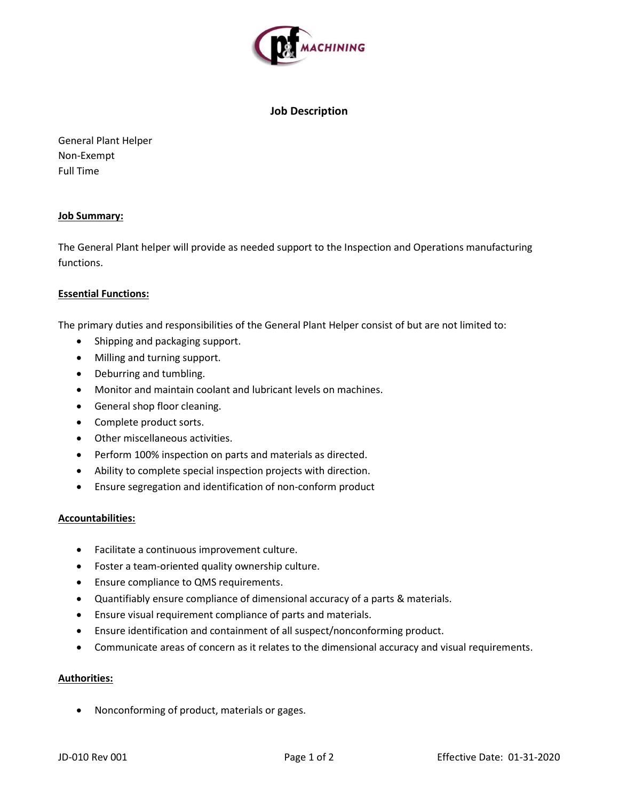

# Job Description

General Plant Helper Non-Exempt Full Time

## Job Summary:

The General Plant helper will provide as needed support to the Inspection and Operations manufacturing functions.

# Essential Functions:

The primary duties and responsibilities of the General Plant Helper consist of but are not limited to:

- Shipping and packaging support.
- Milling and turning support.
- Deburring and tumbling.
- Monitor and maintain coolant and lubricant levels on machines.
- General shop floor cleaning.
- Complete product sorts.
- Other miscellaneous activities.
- Perform 100% inspection on parts and materials as directed.
- Ability to complete special inspection projects with direction.
- Ensure segregation and identification of non-conform product

## Accountabilities:

- Facilitate a continuous improvement culture.
- Foster a team-oriented quality ownership culture.
- Ensure compliance to QMS requirements.
- Quantifiably ensure compliance of dimensional accuracy of a parts & materials.
- Ensure visual requirement compliance of parts and materials.
- Ensure identification and containment of all suspect/nonconforming product.
- Communicate areas of concern as it relates to the dimensional accuracy and visual requirements.

#### Authorities:

Nonconforming of product, materials or gages.